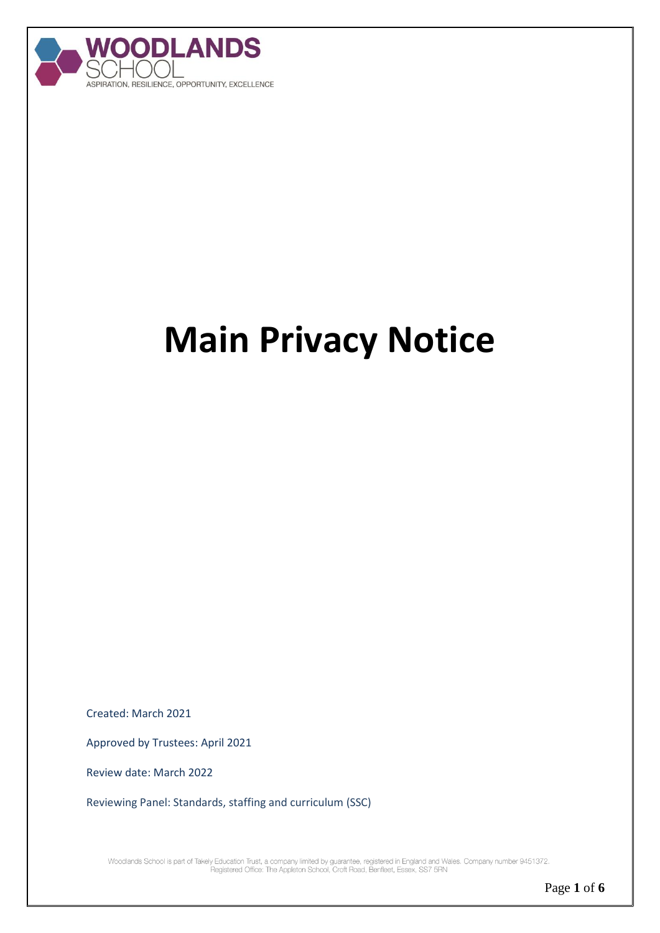

# **Main Privacy Notice**

Created: March 2021

Approved by Trustees: April 2021

Review date: March 2022

Reviewing Panel: Standards, staffing and curriculum (SSC)

Woodlands School is part of Takely Education Trust, a company limited by guarantee, registered in England and Wales. Company number 9451372.<br>Registered Office: The Appleton School, Croft Road, Benfleet, Essex, SS7 5RN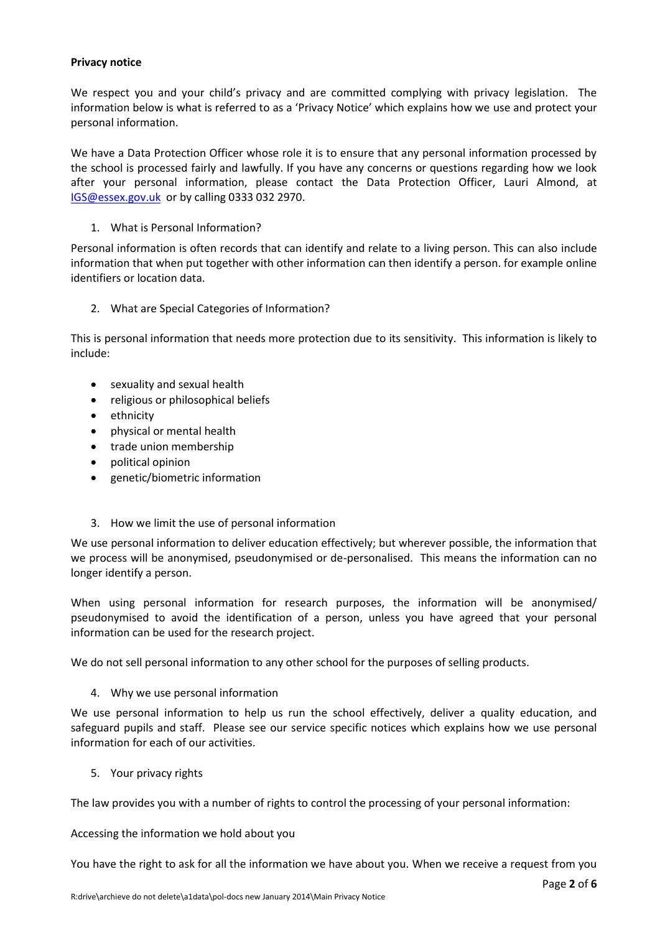## **Privacy notice**

We respect you and your child's privacy and are committed complying with privacy legislation. The information below is what is referred to as a 'Privacy Notice' which explains how we use and protect your personal information.

We have a Data Protection Officer whose role it is to ensure that any personal information processed by the school is processed fairly and lawfully. If you have any concerns or questions regarding how we look after your personal information, please contact the Data Protection Officer, Lauri Almond, at [IGS@essex.gov.uk](mailto:IGS@essex.gov.uk) or by calling 0333 032 2970.

# 1. What is Personal Information?

Personal information is often records that can identify and relate to a living person. This can also include information that when put together with other information can then identify a person. for example online identifiers or location data.

2. What are Special Categories of Information?

This is personal information that needs more protection due to its sensitivity. This information is likely to include:

- sexuality and sexual health
- religious or philosophical beliefs
- ethnicity
- physical or mental health
- trade union membership
- political opinion
- genetic/biometric information
- 3. How we limit the use of personal information

We use personal information to deliver education effectively; but wherever possible, the information that we process will be anonymised, pseudonymised or de-personalised. This means the information can no longer identify a person.

When using personal information for research purposes, the information will be anonymised/ pseudonymised to avoid the identification of a person, unless you have agreed that your personal information can be used for the research project.

We do not sell personal information to any other school for the purposes of selling products.

## 4. Why we use personal information

We use personal information to help us run the school effectively, deliver a quality education, and safeguard pupils and staff. Please see our service specific notices which explains how we use personal information for each of our activities.

5. Your privacy rights

The law provides you with a number of rights to control the processing of your personal information:

Accessing the information we hold about you

You have the right to ask for all the information we have about you. When we receive a request from you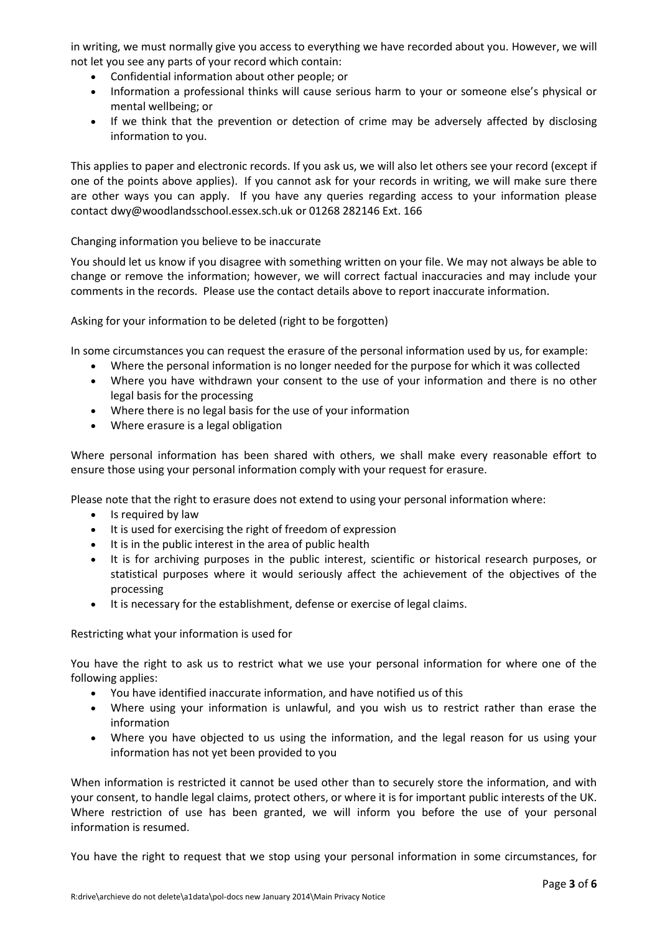in writing, we must normally give you access to everything we have recorded about you. However, we will not let you see any parts of your record which contain:

- Confidential information about other people; or
- Information a professional thinks will cause serious harm to your or someone else's physical or mental wellbeing; or
- If we think that the prevention or detection of crime may be adversely affected by disclosing information to you.

This applies to paper and electronic records. If you ask us, we will also let others see your record (except if one of the points above applies). If you cannot ask for your records in writing, we will make sure there are other ways you can apply. If you have any queries regarding access to your information please contact dwy@woodlandsschool.essex.sch.uk or 01268 282146 Ext. 166

Changing information you believe to be inaccurate

You should let us know if you disagree with something written on your file. We may not always be able to change or remove the information; however, we will correct factual inaccuracies and may include your comments in the records. [Please use the contact details above to report inaccurate information.](https://forms.essex.gov.uk/default.aspx/RenderForm/?F.Name=r4Qcams7sBg&HideAll=1)

Asking for your information to be deleted (right to be forgotten)

In some circumstances you can request the erasure of the personal information used by us, for example:

- Where the personal information is no longer needed for the purpose for which it was collected
- Where you have withdrawn your consent to the use of your information and there is no other legal basis for the processing
- Where there is no legal basis for the use of your information
- Where erasure is a legal obligation

Where personal information has been shared with others, we shall make every reasonable effort to ensure those using your personal information comply with your request for erasure.

Please note that the right to erasure does not extend to using your personal information where:

- Is required by law
- It is used for exercising the right of freedom of expression
- It is in the public interest in the area of public health
- It is for archiving purposes in the public interest, scientific or historical research purposes, or statistical purposes where it would seriously affect the achievement of the objectives of the processing
- It is necessary for the establishment, defense or exercise of legal claims.

Restricting what your information is used for

You have the right to ask us to restrict what we use your personal information for where one of the following applies:

- You have identified inaccurate information, and have notified us of this
- Where using your information is unlawful, and you wish us to restrict rather than erase the information
- Where you have objected to us using the information, and the legal reason for us using your information has not yet been provided to you

When information is restricted it cannot be used other than to securely store the information, and with your consent, to handle legal claims, protect others, or where it is for important public interests of the UK. Where restriction of use has been granted, we will inform you before the use of your personal information is resumed.

You have the right to request that we stop using your personal information in some circumstances, for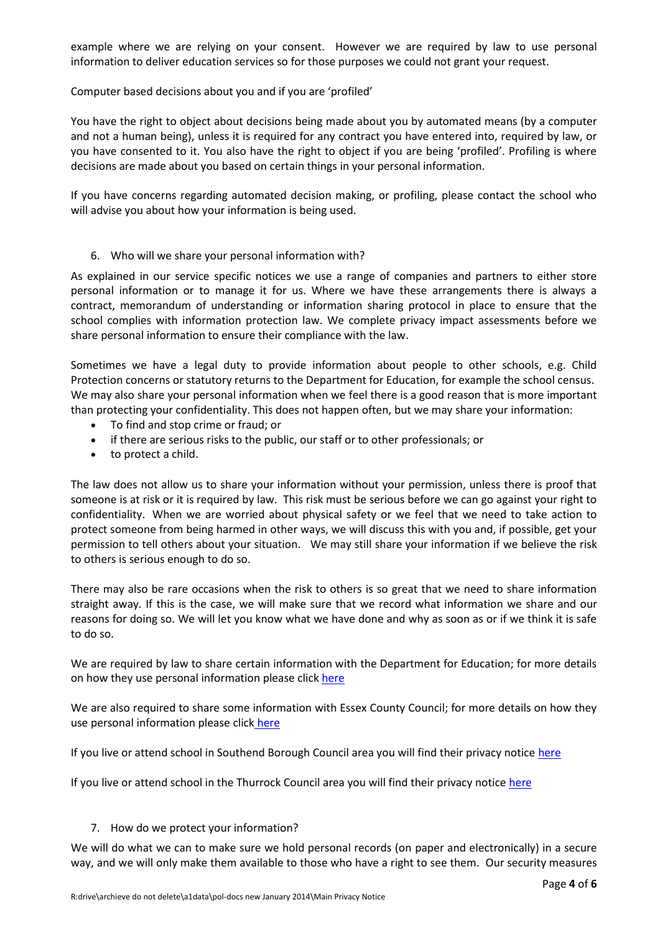example where we are relying on your consent. However we are required by law to use personal information to deliver education services so for those purposes we could not grant your request.

Computer based decisions about you and if you are 'profiled'

You have the right to object about decisions being made about you by automated means (by a computer and not a human being), unless it is required for any contract you have entered into, required by law, or you have consented to it. You also have the right to object if you are being 'profiled'. Profiling is where decisions are made about you based on certain things in your personal information.

If you have concerns regarding automated decision making, or profiling, please contact the school who will advise you about how your information is being used.

# 6. Who will we share your personal information with?

As explained in our service specific notices we use a range of companies and partners to either store personal information or to manage it for us. Where we have these arrangements there is always a contract, memorandum of understanding or information sharing protocol in place to ensure that the school complies with information protection law. We complete privacy impact assessments before we share personal information to ensure their compliance with the law.

Sometimes we have a legal duty to provide information about people to other schools, e.g. Child Protection concerns or statutory returns to the Department for Education, for example the school census. We may also share your personal information when we feel there is a good reason that is more important than protecting your confidentiality. This does not happen often, but we may share your information:

- To find and stop crime or fraud; or
- if there are serious risks to the public, our staff or to other professionals; or
- to protect a child.

The law does not allow us to share your information without your permission, unless there is proof that someone is at risk or it is required by law. This risk must be serious before we can go against your right to confidentiality. When we are worried about physical safety or we feel that we need to take action to protect someone from being harmed in other ways, we will discuss this with you and, if possible, get your permission to tell others about your situation. We may still share your information if we believe the risk to others is serious enough to do so.

There may also be rare occasions when the risk to others is so great that we need to share information straight away. If this is the case, we will make sure that we record what information we share and our reasons for doing so. We will let you know what we have done and why as soon as or if we think it is safe to do so.

We are required by law to share certain information with the Department for Education; for more details on how they use personal information please click [here](https://www.gov.uk/guidance/data-protection-how-we-collect-and-share-research-data)

We are also required to share some information with Essex County Council; for more details on how they use personal information please click [here](http://www.essex.gov.uk/privacy-notices/Pages/Default.aspx)

If you live or attend school in Southend Borough Council area you will find their privacy notice [here](https://www.southend.gov.uk/privacynotice)

If you live or attend school in the Thurrock Council area you will find their privacy notice [here](https://www.thurrock.gov.uk/privacy)

## 7. How do we protect your information?

We will do what we can to make sure we hold personal records (on paper and electronically) in a secure way, and we will only make them available to those who have a right to see them. Our security measures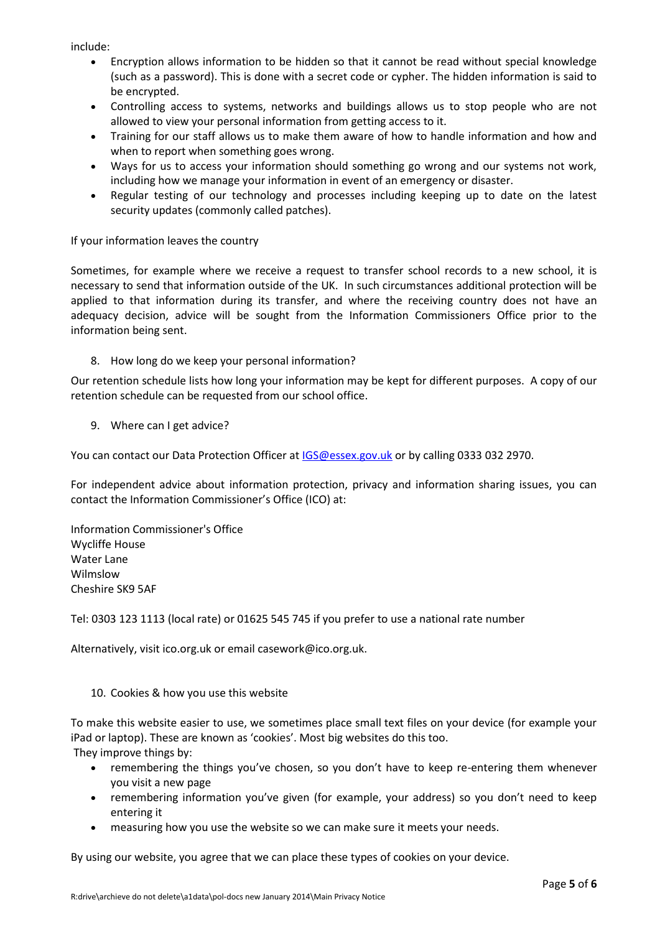include:

- Encryption allows information to be hidden so that it cannot be read without special knowledge (such as a password). This is done with a secret code or cypher. The hidden information is said to be encrypted.
- Controlling access to systems, networks and buildings allows us to stop people who are not allowed to view your personal information from getting access to it.
- Training for our staff allows us to make them aware of how to handle information and how and when to report when something goes wrong.
- Ways for us to access your information should something go wrong and our systems not work, including how we manage your information in event of an emergency or disaster.
- Regular testing of our technology and processes including keeping up to date on the latest security updates (commonly called patches).

# If your information leaves the country

Sometimes, for example where we receive a request to transfer school records to a new school, it is necessary to send that information outside of the UK. In such circumstances additional protection will be applied to that information during its transfer, and where the receiving country does not have an adequacy decision, advice will be sought from the Information Commissioners Office prior to the information being sent.

8. How long do we keep your personal information?

Our retention schedule lists how long your information may be kept for different purposes. A copy of our retention schedule can be requested from our school office.

9. Where can I get advice?

You can contact our Data Protection Officer a[t IGS@essex.gov.uk](mailto:IGS@essex.gov.uk) or by calling 0333 032 2970.

For independent advice about information protection, privacy and information sharing issues, you can contact the Information Commissioner's Office (ICO) at:

Information Commissioner's Office Wycliffe House Water Lane Wilmslow Cheshire SK9 5AF

Tel: 0303 123 1113 (local rate) or 01625 545 745 if you prefer to use a national rate number

Alternatively, visi[t ico.org.uk](https://ico.org.uk/) or email [casework@ico.org.uk.](mailto:casework@ico.org.uk)

## 10. Cookies & how you use this website

To make this website easier to use, we sometimes place small text files on your device (for example your iPad or laptop). These are known as 'cookies'. Most big websites do this too.

They improve things by:

- remembering the things you've chosen, so you don't have to keep re-entering them whenever you visit a new page
- remembering information you've given (for example, your address) so you don't need to keep entering it
- measuring how you use the website so we can make sure it meets your needs.

By using our website, you agree that we can place these types of cookies on your device.